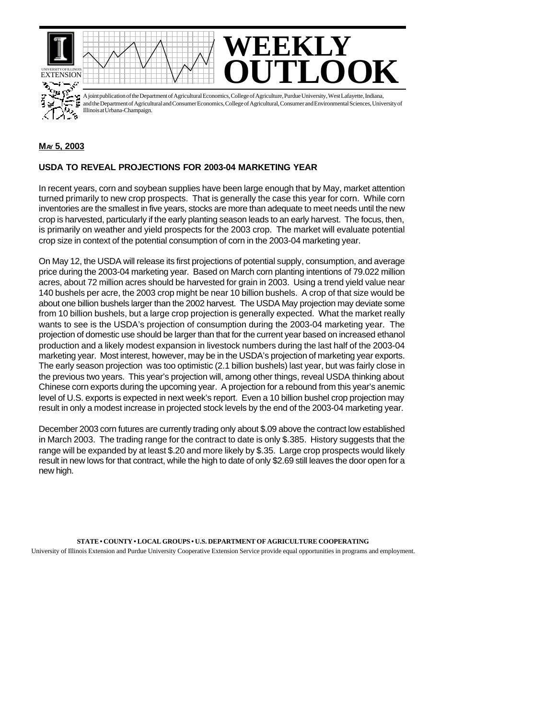

A joint publication of the Department of Agricultural Economics, College of Agriculture, Purdue University, West Lafayette, Indiana, and the Department of Agricultural and Consumer Economics, College of Agricultural, Consumer and Environmental Sciences, University of ्र<br>- १ Illinois at Urbana-Champaign.

## **MAY 5, 2003**

## **USDA TO REVEAL PROJECTIONS FOR 2003-04 MARKETING YEAR**

In recent years, corn and soybean supplies have been large enough that by May, market attention turned primarily to new crop prospects. That is generally the case this year for corn. While corn inventories are the smallest in five years, stocks are more than adequate to meet needs until the new crop is harvested, particularly if the early planting season leads to an early harvest. The focus, then, is primarily on weather and yield prospects for the 2003 crop. The market will evaluate potential crop size in context of the potential consumption of corn in the 2003-04 marketing year.

On May 12, the USDA will release its first projections of potential supply, consumption, and average price during the 2003-04 marketing year. Based on March corn planting intentions of 79.022 million acres, about 72 million acres should be harvested for grain in 2003. Using a trend yield value near 140 bushels per acre, the 2003 crop might be near 10 billion bushels. A crop of that size would be about one billion bushels larger than the 2002 harvest. The USDA May projection may deviate some from 10 billion bushels, but a large crop projection is generally expected. What the market really wants to see is the USDA's projection of consumption during the 2003-04 marketing year. The projection of domestic use should be larger than that for the current year based on increased ethanol production and a likely modest expansion in livestock numbers during the last half of the 2003-04 marketing year. Most interest, however, may be in the USDA's projection of marketing year exports. The early season projection was too optimistic (2.1 billion bushels) last year, but was fairly close in the previous two years. This year's projection will, among other things, reveal USDA thinking about Chinese corn exports during the upcoming year. A projection for a rebound from this year's anemic level of U.S. exports is expected in next week's report. Even a 10 billion bushel crop projection may result in only a modest increase in projected stock levels by the end of the 2003-04 marketing year.

December 2003 corn futures are currently trading only about \$.09 above the contract low established in March 2003. The trading range for the contract to date is only \$.385. History suggests that the range will be expanded by at least \$.20 and more likely by \$.35. Large crop prospects would likely result in new lows for that contract, while the high to date of only \$2.69 still leaves the door open for a new high.

**STATE • COUNTY • LOCAL GROUPS • U.S. DEPARTMENT OF AGRICULTURE COOPERATING** University of Illinois Extension and Purdue University Cooperative Extension Service provide equal opportunities in programs and employment.